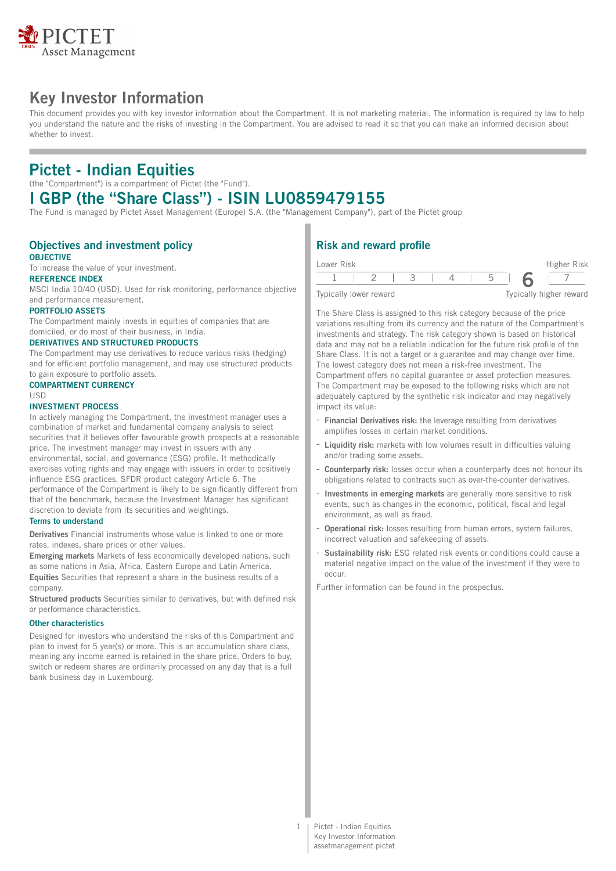

# **Key Investor Information**

This document provides you with key investor information about the Compartment. It is not marketing material. The information is required by law to help you understand the nature and the risks of investing in the Compartment. You are advised to read it so that you can make an informed decision about whether to invest.

## **Pictet - Indian Equities**

(the "Compartment") is a compartment of Pictet (the "Fund").

# **I GBP (the "Share Class") - ISIN LU0859479155**

The Fund is managed by Pictet Asset Management (Europe) S.A. (the "Management Company"), part of the Pictet group

### **Objectives and investment policy OBJECTIVE**

To increase the value of your investment.

## **REFERENCE INDEX**

MSCI India 10/40 (USD). Used for risk monitoring, performance objective and performance measurement.

#### **PORTFOLIO ASSETS**

The Compartment mainly invests in equities of companies that are domiciled, or do most of their business, in India.

### **DERIVATIVES AND STRUCTURED PRODUCTS**

The Compartment may use derivatives to reduce various risks (hedging) and for efficient portfolio management, and may use structured products to gain exposure to portfolio assets.

## **COMPARTMENT CURRENCY**

### USD

#### **INVESTMENT PROCESS**

In actively managing the Compartment, the investment manager uses a combination of market and fundamental company analysis to select securities that it believes offer favourable growth prospects at a reasonable price. The investment manager may invest in issuers with any environmental, social, and governance (ESG) profile. It methodically exercises voting rights and may engage with issuers in order to positively influence ESG practices, SFDR product category Article 6. The performance of the Compartment is likely to be significantly different from that of the benchmark, because the Investment Manager has significant discretion to deviate from its securities and weightings.

### **Terms to understand**

**Derivatives** Financial instruments whose value is linked to one or more rates, indexes, share prices or other values.

**Emerging markets** Markets of less economically developed nations, such as some nations in Asia, Africa, Eastern Europe and Latin America. **Equities** Securities that represent a share in the business results of a company.

**Structured products** Securities similar to derivatives, but with defined risk or performance characteristics.

#### **Other characteristics**

Designed for investors who understand the risks of this Compartment and plan to invest for 5 year(s) or more. This is an accumulation share class, meaning any income earned is retained in the share price. Orders to buy, switch or redeem shares are ordinarily processed on any day that is a full bank business day in Luxembourg.

## **Risk and reward profile**

| Lower Risk             |  |  |                         | Higher Risk |
|------------------------|--|--|-------------------------|-------------|
|                        |  |  |                         |             |
| Typically lower reward |  |  | Typically higher reward |             |

The Share Class is assigned to this risk category because of the price variations resulting from its currency and the nature of the Compartment's investments and strategy. The risk category shown is based on historical data and may not be a reliable indication for the future risk profile of the Share Class. It is not a target or a guarantee and may change over time. The lowest category does not mean a risk-free investment. The Compartment offers no capital guarantee or asset protection measures. The Compartment may be exposed to the following risks which are not adequately captured by the synthetic risk indicator and may negatively impact its value:

- **Financial Derivatives risk:** the leverage resulting from derivatives amplifies losses in certain market conditions.
- **Liquidity risk:** markets with low volumes result in difficulties valuing and/or trading some assets.
- **Counterparty risk:** losses occur when a counterparty does not honour its obligations related to contracts such as over-the-counter derivatives.
- **Investments in emerging markets** are generally more sensitive to risk events, such as changes in the economic, political, fiscal and legal environment, as well as fraud.
- **Operational risk:** losses resulting from human errors, system failures, incorrect valuation and safekeeping of assets.
- Sustainability risk: ESG related risk events or conditions could cause a material negative impact on the value of the investment if they were to occur.

Further information can be found in the prospectus.